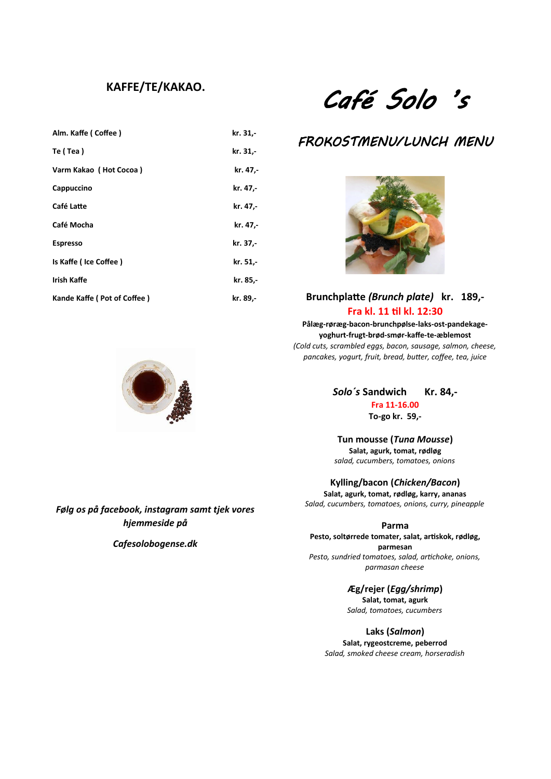# **KAFFE/TE/KAKAO.**

| Alm. Kaffe (Coffee)         | kr. 31,- |
|-----------------------------|----------|
| Te (Tea)                    | kr. 31,- |
| Varm Kakao (Hot Cocoa)      | kr. 47,- |
| Cappuccino                  | kr. 47,- |
| Café Latte                  | kr. 47,- |
| Café Mocha                  | kr. 47,- |
| <b>Espresso</b>             | kr. 37,- |
| Is Kaffe (Ice Coffee)       | kr. 51,- |
| <b>Irish Kaffe</b>          | kr. 85,- |
| Kande Kaffe (Pot of Coffee) | kr. 89,- |

# Café Solo 's

# FROKOSTMENU/LUNCH MENU



## **Brunchplatte** *(Brunch plate)* **kr. 189,- Fra kl. 11 til kl. 12:30**

**Pålæg-røræg-bacon-brunchpølse-laks-ost-pandekageyoghurt-frugt-brød-smør-kaffe-te-æblemost** *(Cold cuts, scrambled eggs, bacon, sausage, salmon, cheese, pancakes, yogurt, fruit, bread, butter, coffee, tea, juice* 

*Solo´s* **Sandwich Kr. 84,-**

**Fra 11-16.00**

**To-go kr. 59,-**

**Tun mousse (***Tuna Mousse***) Salat, agurk, tomat, rødløg** *salad, cucumbers, tomatoes, onions*

**Kylling/bacon (***Chicken/Bacon***)**

**Salat, agurk, tomat, rødløg, karry, ananas** *Salad, cucumbers, tomatoes, onions, curry, pineapple*

#### **Parma**

**Pesto, soltørrede tomater, salat, artiskok, rødløg, parmesan** *Pesto, sundried tomatoes, salad, artichoke, onions, parmasan cheese*

**Æg/rejer (***Egg/shrimp***)**

**Salat, tomat, agurk** *Salad, tomatoes, cucumbers*

**Laks (***Salmon***) Salat, rygeostcreme, peberrod** *Salad, smoked cheese cream, horseradish*

*Følg os på facebook, instagram samt tjek vores hjemmeside på*

*Cafesolobogense.dk*